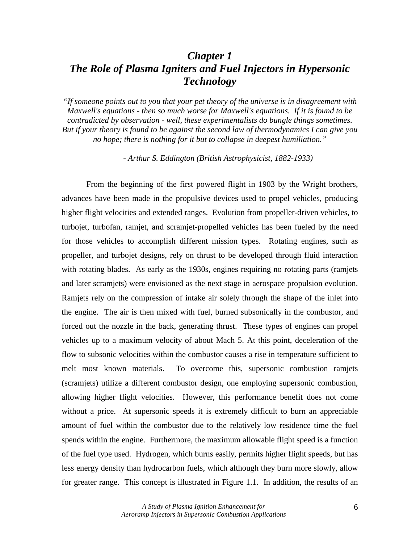# *Chapter 1 The Role of Plasma Igniters and Fuel Injectors in Hypersonic Technology*

*"If someone points out to you that your pet theory of the universe is in disagreement with Maxwell's equations - then so much worse for Maxwell's equations. If it is found to be contradicted by observation - well, these experimentalists do bungle things sometimes. But if your theory is found to be against the second law of thermodynamics I can give you no hope; there is nothing for it but to collapse in deepest humiliation."* 

 *- Arthur S. Eddington (British Astrophysicist, 1882-1933)* 

From the beginning of the first powered flight in 1903 by the Wright brothers, advances have been made in the propulsive devices used to propel vehicles, producing higher flight velocities and extended ranges. Evolution from propeller-driven vehicles, to turbojet, turbofan, ramjet, and scramjet-propelled vehicles has been fueled by the need for those vehicles to accomplish different mission types. Rotating engines, such as propeller, and turbojet designs, rely on thrust to be developed through fluid interaction with rotating blades. As early as the 1930s, engines requiring no rotating parts (ramjets and later scramjets) were envisioned as the next stage in aerospace propulsion evolution. Ramjets rely on the compression of intake air solely through the shape of the inlet into the engine. The air is then mixed with fuel, burned subsonically in the combustor, and forced out the nozzle in the back, generating thrust. These types of engines can propel vehicles up to a maximum velocity of about Mach 5. At this point, deceleration of the flow to subsonic velocities within the combustor causes a rise in temperature sufficient to melt most known materials. To overcome this, supersonic combustion ramjets (scramjets) utilize a different combustor design, one employing supersonic combustion, allowing higher flight velocities. However, this performance benefit does not come without a price. At supersonic speeds it is extremely difficult to burn an appreciable amount of fuel within the combustor due to the relatively low residence time the fuel spends within the engine. Furthermore, the maximum allowable flight speed is a function of the fuel type used. Hydrogen, which burns easily, permits higher flight speeds, but has less energy density than hydrocarbon fuels, which although they burn more slowly, allow for greater range. This concept is illustrated in Figure 1.1. In addition, the results of an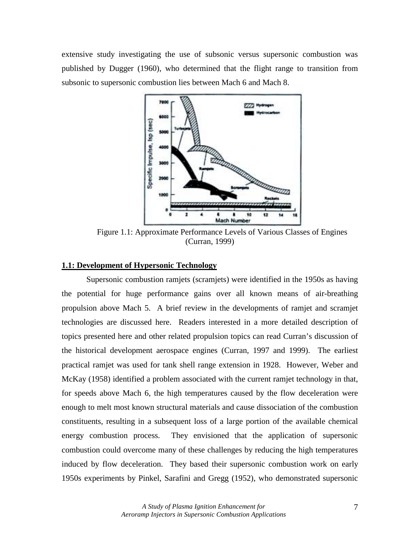extensive study investigating the use of subsonic versus supersonic combustion was published by Dugger (1960), who determined that the flight range to transition from subsonic to supersonic combustion lies between Mach 6 and Mach 8.



Figure 1.1: Approximate Performance Levels of Various Classes of Engines (Curran, 1999)

#### **1.1: Development of Hypersonic Technology**

 Supersonic combustion ramjets (scramjets) were identified in the 1950s as having the potential for huge performance gains over all known means of air-breathing propulsion above Mach 5. A brief review in the developments of ramjet and scramjet technologies are discussed here. Readers interested in a more detailed description of topics presented here and other related propulsion topics can read Curran's discussion of the historical development aerospace engines (Curran, 1997 and 1999). The earliest practical ramjet was used for tank shell range extension in 1928. However, Weber and McKay (1958) identified a problem associated with the current ramjet technology in that, for speeds above Mach 6, the high temperatures caused by the flow deceleration were enough to melt most known structural materials and cause dissociation of the combustion constituents, resulting in a subsequent loss of a large portion of the available chemical energy combustion process. They envisioned that the application of supersonic combustion could overcome many of these challenges by reducing the high temperatures induced by flow deceleration. They based their supersonic combustion work on early 1950s experiments by Pinkel, Sarafini and Gregg (1952), who demonstrated supersonic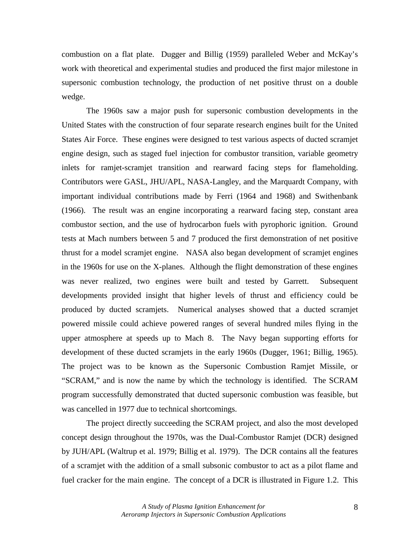combustion on a flat plate. Dugger and Billig (1959) paralleled Weber and McKay's work with theoretical and experimental studies and produced the first major milestone in supersonic combustion technology, the production of net positive thrust on a double wedge.

 The 1960s saw a major push for supersonic combustion developments in the United States with the construction of four separate research engines built for the United States Air Force. These engines were designed to test various aspects of ducted scramjet engine design, such as staged fuel injection for combustor transition, variable geometry inlets for ramjet-scramjet transition and rearward facing steps for flameholding. Contributors were GASL, JHU/APL, NASA-Langley, and the Marquardt Company, with important individual contributions made by Ferri (1964 and 1968) and Swithenbank (1966). The result was an engine incorporating a rearward facing step, constant area combustor section, and the use of hydrocarbon fuels with pyrophoric ignition. Ground tests at Mach numbers between 5 and 7 produced the first demonstration of net positive thrust for a model scramjet engine. NASA also began development of scramjet engines in the 1960s for use on the X-planes. Although the flight demonstration of these engines was never realized, two engines were built and tested by Garrett. Subsequent developments provided insight that higher levels of thrust and efficiency could be produced by ducted scramjets. Numerical analyses showed that a ducted scramjet powered missile could achieve powered ranges of several hundred miles flying in the upper atmosphere at speeds up to Mach 8. The Navy began supporting efforts for development of these ducted scramjets in the early 1960s (Dugger, 1961; Billig, 1965). The project was to be known as the Supersonic Combustion Ramjet Missile, or "SCRAM," and is now the name by which the technology is identified. The SCRAM program successfully demonstrated that ducted supersonic combustion was feasible, but was cancelled in 1977 due to technical shortcomings.

 The project directly succeeding the SCRAM project, and also the most developed concept design throughout the 1970s, was the Dual-Combustor Ramjet (DCR) designed by JUH/APL (Waltrup et al. 1979; Billig et al. 1979). The DCR contains all the features of a scramjet with the addition of a small subsonic combustor to act as a pilot flame and fuel cracker for the main engine. The concept of a DCR is illustrated in Figure 1.2. This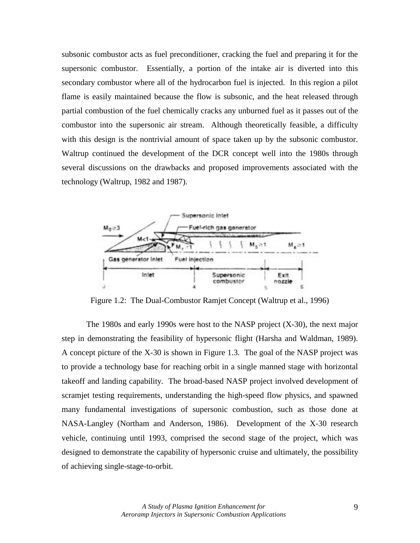subsonic combustor acts as fuel preconditioner, cracking the fuel and preparing it for the supersonic combustor. Essentially, a portion of the intake air is diverted into this secondary combustor where all of the hydrocarbon fuel is injected. In this region a pilot flame is easily maintained because the flow is subsonic, and the heat released through partial combustion of the fuel chemically cracks any unburned fuel as it passes out of the combustor into the supersonic air stream. Although theoretically feasible, a difficulty with this design is the nontrivial amount of space taken up by the subsonic combustor. Waltrup continued the development of the DCR concept well into the 1980s through several discussions on the drawbacks and proposed improvements associated with the technology (Waltrup, 1982 and 1987).



Figure 1.2: The Dual-Combustor Ramjet Concept (Waltrup et al., 1996)

 The 1980s and early 1990s were host to the NASP project (X-30), the next major step in demonstrating the feasibility of hypersonic flight (Harsha and Waldman, 1989). A concept picture of the X-30 is shown in Figure 1.3. The goal of the NASP project was to provide a technology base for reaching orbit in a single manned stage with horizontal takeoff and landing capability. The broad-based NASP project involved development of scramjet testing requirements, understanding the high-speed flow physics, and spawned many fundamental investigations of supersonic combustion, such as those done at NASA-Langley (Northam and Anderson, 1986). Development of the X-30 research vehicle, continuing until 1993, comprised the second stage of the project, which was designed to demonstrate the capability of hypersonic cruise and ultimately, the possibility of achieving single-stage-to-orbit.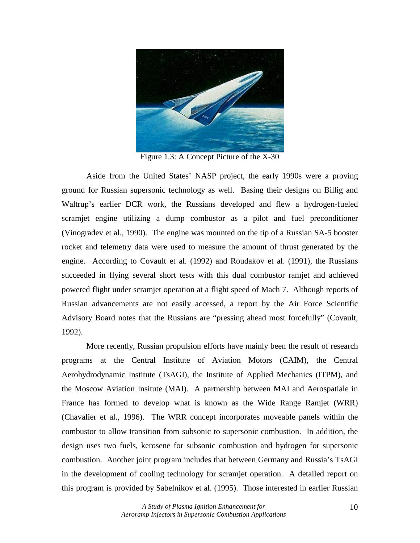

Figure 1.3: A Concept Picture of the X-30

 Aside from the United States' NASP project, the early 1990s were a proving ground for Russian supersonic technology as well. Basing their designs on Billig and Waltrup's earlier DCR work, the Russians developed and flew a hydrogen-fueled scramjet engine utilizing a dump combustor as a pilot and fuel preconditioner (Vinogradev et al., 1990). The engine was mounted on the tip of a Russian SA-5 booster rocket and telemetry data were used to measure the amount of thrust generated by the engine. According to Covault et al. (1992) and Roudakov et al. (1991), the Russians succeeded in flying several short tests with this dual combustor ramjet and achieved powered flight under scramjet operation at a flight speed of Mach 7. Although reports of Russian advancements are not easily accessed, a report by the Air Force Scientific Advisory Board notes that the Russians are "pressing ahead most forcefully" (Covault, 1992).

 More recently, Russian propulsion efforts have mainly been the result of research programs at the Central Institute of Aviation Motors (CAIM), the Central Aerohydrodynamic Institute (TsAGI), the Institute of Applied Mechanics (ITPM), and the Moscow Aviation Insitute (MAI). A partnership between MAI and Aerospatiale in France has formed to develop what is known as the Wide Range Ramjet (WRR) (Chavalier et al., 1996). The WRR concept incorporates moveable panels within the combustor to allow transition from subsonic to supersonic combustion. In addition, the design uses two fuels, kerosene for subsonic combustion and hydrogen for supersonic combustion. Another joint program includes that between Germany and Russia's TsAGI in the development of cooling technology for scramjet operation. A detailed report on this program is provided by Sabelnikov et al. (1995). Those interested in earlier Russian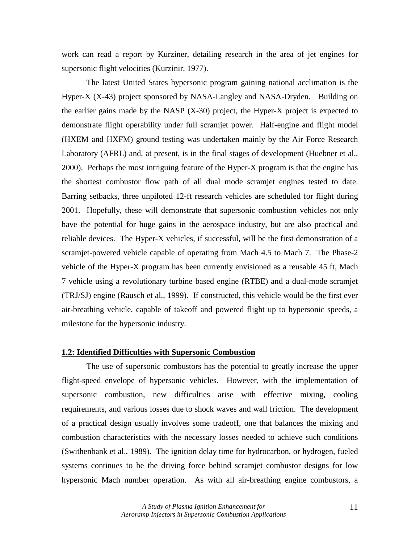work can read a report by Kurziner, detailing research in the area of jet engines for supersonic flight velocities (Kurzinir, 1977).

 The latest United States hypersonic program gaining national acclimation is the Hyper-X (X-43) project sponsored by NASA-Langley and NASA-Dryden. Building on the earlier gains made by the NASP (X-30) project, the Hyper-X project is expected to demonstrate flight operability under full scramjet power. Half-engine and flight model (HXEM and HXFM) ground testing was undertaken mainly by the Air Force Research Laboratory (AFRL) and, at present, is in the final stages of development (Huebner et al., 2000). Perhaps the most intriguing feature of the Hyper-X program is that the engine has the shortest combustor flow path of all dual mode scramjet engines tested to date. Barring setbacks, three unpiloted 12-ft research vehicles are scheduled for flight during 2001. Hopefully, these will demonstrate that supersonic combustion vehicles not only have the potential for huge gains in the aerospace industry, but are also practical and reliable devices. The Hyper-X vehicles, if successful, will be the first demonstration of a scramjet-powered vehicle capable of operating from Mach 4.5 to Mach 7. The Phase-2 vehicle of the Hyper-X program has been currently envisioned as a reusable 45 ft, Mach 7 vehicle using a revolutionary turbine based engine (RTBE) and a dual-mode scramjet (TRJ/SJ) engine (Rausch et al., 1999). If constructed, this vehicle would be the first ever air-breathing vehicle, capable of takeoff and powered flight up to hypersonic speeds, a milestone for the hypersonic industry.

# **1.2: Identified Difficulties with Supersonic Combustion**

 The use of supersonic combustors has the potential to greatly increase the upper flight-speed envelope of hypersonic vehicles. However, with the implementation of supersonic combustion, new difficulties arise with effective mixing, cooling requirements, and various losses due to shock waves and wall friction. The development of a practical design usually involves some tradeoff, one that balances the mixing and combustion characteristics with the necessary losses needed to achieve such conditions (Swithenbank et al., 1989). The ignition delay time for hydrocarbon, or hydrogen, fueled systems continues to be the driving force behind scramjet combustor designs for low hypersonic Mach number operation. As with all air-breathing engine combustors, a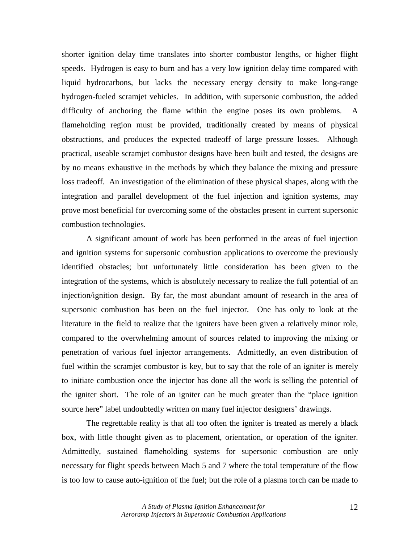shorter ignition delay time translates into shorter combustor lengths, or higher flight speeds. Hydrogen is easy to burn and has a very low ignition delay time compared with liquid hydrocarbons, but lacks the necessary energy density to make long-range hydrogen-fueled scramjet vehicles. In addition, with supersonic combustion, the added difficulty of anchoring the flame within the engine poses its own problems. A flameholding region must be provided, traditionally created by means of physical obstructions, and produces the expected tradeoff of large pressure losses. Although practical, useable scramjet combustor designs have been built and tested, the designs are by no means exhaustive in the methods by which they balance the mixing and pressure loss tradeoff. An investigation of the elimination of these physical shapes, along with the integration and parallel development of the fuel injection and ignition systems, may prove most beneficial for overcoming some of the obstacles present in current supersonic combustion technologies.

A significant amount of work has been performed in the areas of fuel injection and ignition systems for supersonic combustion applications to overcome the previously identified obstacles; but unfortunately little consideration has been given to the integration of the systems, which is absolutely necessary to realize the full potential of an injection/ignition design. By far, the most abundant amount of research in the area of supersonic combustion has been on the fuel injector. One has only to look at the literature in the field to realize that the igniters have been given a relatively minor role, compared to the overwhelming amount of sources related to improving the mixing or penetration of various fuel injector arrangements. Admittedly, an even distribution of fuel within the scramjet combustor is key, but to say that the role of an igniter is merely to initiate combustion once the injector has done all the work is selling the potential of the igniter short. The role of an igniter can be much greater than the "place ignition source here" label undoubtedly written on many fuel injector designers' drawings.

The regrettable reality is that all too often the igniter is treated as merely a black box, with little thought given as to placement, orientation, or operation of the igniter. Admittedly, sustained flameholding systems for supersonic combustion are only necessary for flight speeds between Mach 5 and 7 where the total temperature of the flow is too low to cause auto-ignition of the fuel; but the role of a plasma torch can be made to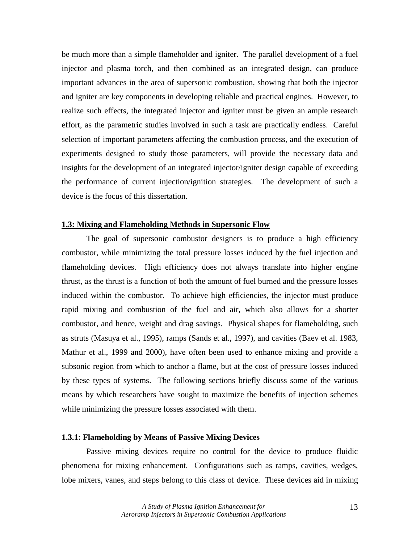be much more than a simple flameholder and igniter. The parallel development of a fuel injector and plasma torch, and then combined as an integrated design, can produce important advances in the area of supersonic combustion, showing that both the injector and igniter are key components in developing reliable and practical engines. However, to realize such effects, the integrated injector and igniter must be given an ample research effort, as the parametric studies involved in such a task are practically endless. Careful selection of important parameters affecting the combustion process, and the execution of experiments designed to study those parameters, will provide the necessary data and insights for the development of an integrated injector/igniter design capable of exceeding the performance of current injection/ignition strategies. The development of such a device is the focus of this dissertation.

# **1.3: Mixing and Flameholding Methods in Supersonic Flow**

 The goal of supersonic combustor designers is to produce a high efficiency combustor, while minimizing the total pressure losses induced by the fuel injection and flameholding devices. High efficiency does not always translate into higher engine thrust, as the thrust is a function of both the amount of fuel burned and the pressure losses induced within the combustor. To achieve high efficiencies, the injector must produce rapid mixing and combustion of the fuel and air, which also allows for a shorter combustor, and hence, weight and drag savings. Physical shapes for flameholding, such as struts (Masuya et al., 1995), ramps (Sands et al., 1997), and cavities (Baev et al. 1983, Mathur et al., 1999 and 2000), have often been used to enhance mixing and provide a subsonic region from which to anchor a flame, but at the cost of pressure losses induced by these types of systems. The following sections briefly discuss some of the various means by which researchers have sought to maximize the benefits of injection schemes while minimizing the pressure losses associated with them.

## **1.3.1: Flameholding by Means of Passive Mixing Devices**

 Passive mixing devices require no control for the device to produce fluidic phenomena for mixing enhancement. Configurations such as ramps, cavities, wedges, lobe mixers, vanes, and steps belong to this class of device. These devices aid in mixing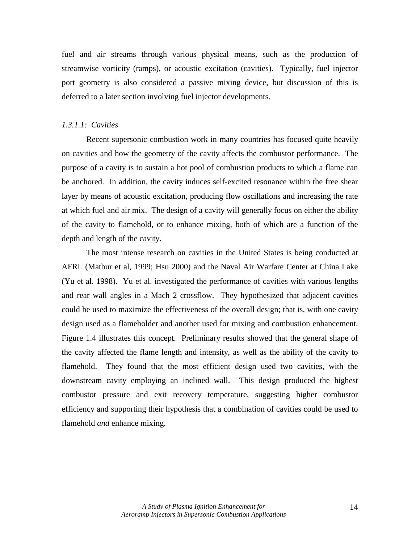fuel and air streams through various physical means, such as the production of streamwise vorticity (ramps), or acoustic excitation (cavities). Typically, fuel injector port geometry is also considered a passive mixing device, but discussion of this is deferred to a later section involving fuel injector developments.

## *1.3.1.1: Cavities*

Recent supersonic combustion work in many countries has focused quite heavily on cavities and how the geometry of the cavity affects the combustor performance. The purpose of a cavity is to sustain a hot pool of combustion products to which a flame can be anchored. In addition, the cavity induces self-excited resonance within the free shear layer by means of acoustic excitation, producing flow oscillations and increasing the rate at which fuel and air mix. The design of a cavity will generally focus on either the ability of the cavity to flamehold, or to enhance mixing, both of which are a function of the depth and length of the cavity.

The most intense research on cavities in the United States is being conducted at AFRL (Mathur et al, 1999; Hsu 2000) and the Naval Air Warfare Center at China Lake (Yu et al. 1998). Yu et al. investigated the performance of cavities with various lengths and rear wall angles in a Mach 2 crossflow. They hypothesized that adjacent cavities could be used to maximize the effectiveness of the overall design; that is, with one cavity design used as a flameholder and another used for mixing and combustion enhancement. Figure 1.4 illustrates this concept. Preliminary results showed that the general shape of the cavity affected the flame length and intensity, as well as the ability of the cavity to flamehold. They found that the most efficient design used two cavities, with the downstream cavity employing an inclined wall. This design produced the highest combustor pressure and exit recovery temperature, suggesting higher combustor efficiency and supporting their hypothesis that a combination of cavities could be used to flamehold *and* enhance mixing.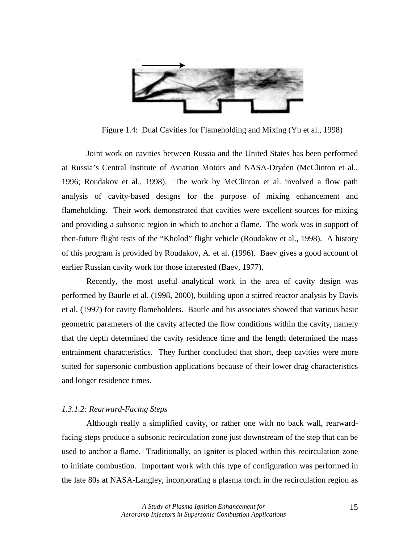

Figure 1.4: Dual Cavities for Flameholding and Mixing (Yu et al., 1998)

Joint work on cavities between Russia and the United States has been performed at Russia's Central Institute of Aviation Motors and NASA-Dryden (McClinton et al., 1996; Roudakov et al., 1998). The work by McClinton et al. involved a flow path analysis of cavity-based designs for the purpose of mixing enhancement and flameholding. Their work demonstrated that cavities were excellent sources for mixing and providing a subsonic region in which to anchor a flame. The work was in support of then-future flight tests of the "Kholod" flight vehicle (Roudakov et al., 1998). A history of this program is provided by Roudakov, A. et al. (1996). Baev gives a good account of earlier Russian cavity work for those interested (Baev, 1977).

Recently, the most useful analytical work in the area of cavity design was performed by Baurle et al. (1998, 2000), building upon a stirred reactor analysis by Davis et al. (1997) for cavity flameholders. Baurle and his associates showed that various basic geometric parameters of the cavity affected the flow conditions within the cavity, namely that the depth determined the cavity residence time and the length determined the mass entrainment characteristics. They further concluded that short, deep cavities were more suited for supersonic combustion applications because of their lower drag characteristics and longer residence times.

## *1.3.1.2: Rearward-Facing Steps*

 Although really a simplified cavity, or rather one with no back wall, rearwardfacing steps produce a subsonic recirculation zone just downstream of the step that can be used to anchor a flame. Traditionally, an igniter is placed within this recirculation zone to initiate combustion. Important work with this type of configuration was performed in the late 80s at NASA-Langley, incorporating a plasma torch in the recirculation region as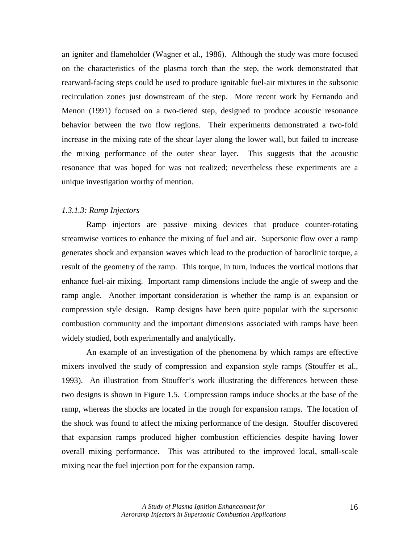an igniter and flameholder (Wagner et al., 1986). Although the study was more focused on the characteristics of the plasma torch than the step, the work demonstrated that rearward-facing steps could be used to produce ignitable fuel-air mixtures in the subsonic recirculation zones just downstream of the step. More recent work by Fernando and Menon (1991) focused on a two-tiered step, designed to produce acoustic resonance behavior between the two flow regions. Their experiments demonstrated a two-fold increase in the mixing rate of the shear layer along the lower wall, but failed to increase the mixing performance of the outer shear layer. This suggests that the acoustic resonance that was hoped for was not realized; nevertheless these experiments are a unique investigation worthy of mention.

#### *1.3.1.3: Ramp Injectors*

 Ramp injectors are passive mixing devices that produce counter-rotating streamwise vortices to enhance the mixing of fuel and air. Supersonic flow over a ramp generates shock and expansion waves which lead to the production of baroclinic torque, a result of the geometry of the ramp. This torque, in turn, induces the vortical motions that enhance fuel-air mixing. Important ramp dimensions include the angle of sweep and the ramp angle. Another important consideration is whether the ramp is an expansion or compression style design. Ramp designs have been quite popular with the supersonic combustion community and the important dimensions associated with ramps have been widely studied, both experimentally and analytically.

 An example of an investigation of the phenomena by which ramps are effective mixers involved the study of compression and expansion style ramps (Stouffer et al., 1993). An illustration from Stouffer's work illustrating the differences between these two designs is shown in Figure 1.5. Compression ramps induce shocks at the base of the ramp, whereas the shocks are located in the trough for expansion ramps. The location of the shock was found to affect the mixing performance of the design. Stouffer discovered that expansion ramps produced higher combustion efficiencies despite having lower overall mixing performance. This was attributed to the improved local, small-scale mixing near the fuel injection port for the expansion ramp.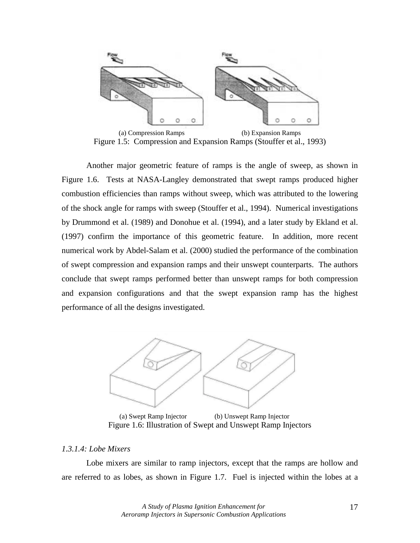

(a) Compression Ramps (b) Expansion Ramps Figure 1.5: Compression and Expansion Ramps (Stouffer et al., 1993)

 Another major geometric feature of ramps is the angle of sweep, as shown in Figure 1.6. Tests at NASA-Langley demonstrated that swept ramps produced higher combustion efficiencies than ramps without sweep, which was attributed to the lowering of the shock angle for ramps with sweep (Stouffer et al., 1994). Numerical investigations by Drummond et al. (1989) and Donohue et al. (1994), and a later study by Ekland et al. (1997) confirm the importance of this geometric feature. In addition, more recent numerical work by Abdel-Salam et al. (2000) studied the performance of the combination of swept compression and expansion ramps and their unswept counterparts. The authors conclude that swept ramps performed better than unswept ramps for both compression and expansion configurations and that the swept expansion ramp has the highest performance of all the designs investigated.



 (a) Swept Ramp Injector (b) Unswept Ramp Injector Figure 1.6: Illustration of Swept and Unswept Ramp Injectors

## *1.3.1.4: Lobe Mixers*

 Lobe mixers are similar to ramp injectors, except that the ramps are hollow and are referred to as lobes, as shown in Figure 1.7. Fuel is injected within the lobes at a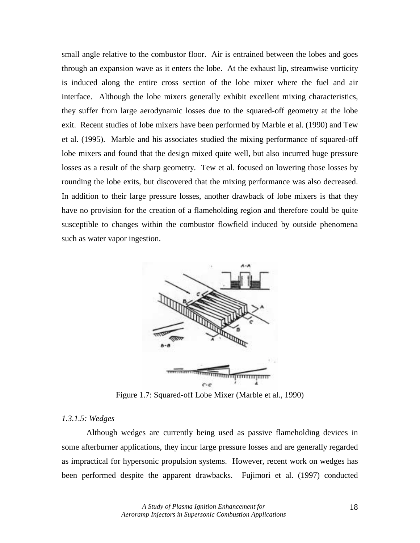small angle relative to the combustor floor. Air is entrained between the lobes and goes through an expansion wave as it enters the lobe. At the exhaust lip, streamwise vorticity is induced along the entire cross section of the lobe mixer where the fuel and air interface. Although the lobe mixers generally exhibit excellent mixing characteristics, they suffer from large aerodynamic losses due to the squared-off geometry at the lobe exit. Recent studies of lobe mixers have been performed by Marble et al. (1990) and Tew et al. (1995). Marble and his associates studied the mixing performance of squared-off lobe mixers and found that the design mixed quite well, but also incurred huge pressure losses as a result of the sharp geometry. Tew et al. focused on lowering those losses by rounding the lobe exits, but discovered that the mixing performance was also decreased. In addition to their large pressure losses, another drawback of lobe mixers is that they have no provision for the creation of a flameholding region and therefore could be quite susceptible to changes within the combustor flowfield induced by outside phenomena such as water vapor ingestion.



Figure 1.7: Squared-off Lobe Mixer (Marble et al., 1990)

# *1.3.1.5: Wedges*

 Although wedges are currently being used as passive flameholding devices in some afterburner applications, they incur large pressure losses and are generally regarded as impractical for hypersonic propulsion systems. However, recent work on wedges has been performed despite the apparent drawbacks. Fujimori et al. (1997) conducted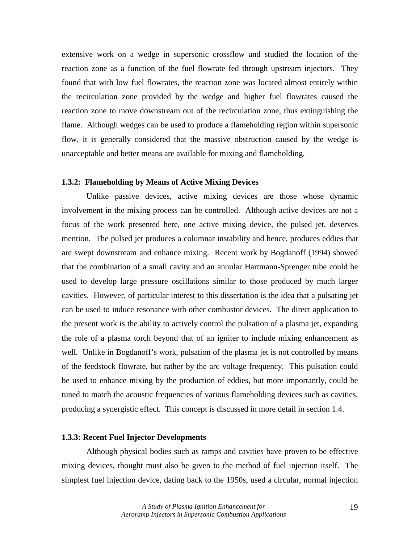extensive work on a wedge in supersonic crossflow and studied the location of the reaction zone as a function of the fuel flowrate fed through upstream injectors. They found that with low fuel flowrates, the reaction zone was located almost entirely within the recirculation zone provided by the wedge and higher fuel flowrates caused the reaction zone to move downstream out of the recirculation zone, thus extinguishing the flame. Although wedges can be used to produce a flameholding region within supersonic flow, it is generally considered that the massive obstruction caused by the wedge is unacceptable and better means are available for mixing and flameholding.

### **1.3.2: Flameholding by Means of Active Mixing Devices**

 Unlike passive devices, active mixing devices are those whose dynamic involvement in the mixing process can be controlled. Although active devices are not a focus of the work presented here, one active mixing device, the pulsed jet, deserves mention. The pulsed jet produces a columnar instability and hence, produces eddies that are swept downstream and enhance mixing. Recent work by Bogdanoff (1994) showed that the combination of a small cavity and an annular Hartmann-Sprenger tube could be used to develop large pressure oscillations similar to those produced by much larger cavities. However, of particular interest to this dissertation is the idea that a pulsating jet can be used to induce resonance with other combustor devices. The direct application to the present work is the ability to actively control the pulsation of a plasma jet, expanding the role of a plasma torch beyond that of an igniter to include mixing enhancement as well. Unlike in Bogdanoff's work, pulsation of the plasma jet is not controlled by means of the feedstock flowrate, but rather by the arc voltage frequency. This pulsation could be used to enhance mixing by the production of eddies, but more importantly, could be tuned to match the acoustic frequencies of various flameholding devices such as cavities, producing a synergistic effect. This concept is discussed in more detail in section 1.4.

# **1.3.3: Recent Fuel Injector Developments**

 Although physical bodies such as ramps and cavities have proven to be effective mixing devices, thought must also be given to the method of fuel injection itself. The simplest fuel injection device, dating back to the 1950s, used a circular, normal injection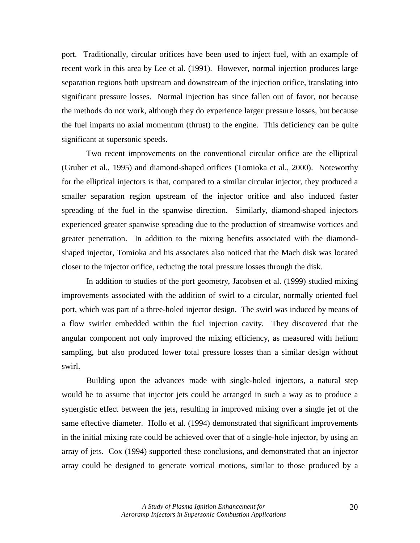port. Traditionally, circular orifices have been used to inject fuel, with an example of recent work in this area by Lee et al. (1991). However, normal injection produces large separation regions both upstream and downstream of the injection orifice, translating into significant pressure losses. Normal injection has since fallen out of favor, not because the methods do not work, although they do experience larger pressure losses, but because the fuel imparts no axial momentum (thrust) to the engine. This deficiency can be quite significant at supersonic speeds.

Two recent improvements on the conventional circular orifice are the elliptical (Gruber et al., 1995) and diamond-shaped orifices (Tomioka et al., 2000). Noteworthy for the elliptical injectors is that, compared to a similar circular injector, they produced a smaller separation region upstream of the injector orifice and also induced faster spreading of the fuel in the spanwise direction. Similarly, diamond-shaped injectors experienced greater spanwise spreading due to the production of streamwise vortices and greater penetration. In addition to the mixing benefits associated with the diamondshaped injector, Tomioka and his associates also noticed that the Mach disk was located closer to the injector orifice, reducing the total pressure losses through the disk.

In addition to studies of the port geometry, Jacobsen et al. (1999) studied mixing improvements associated with the addition of swirl to a circular, normally oriented fuel port, which was part of a three-holed injector design. The swirl was induced by means of a flow swirler embedded within the fuel injection cavity. They discovered that the angular component not only improved the mixing efficiency, as measured with helium sampling, but also produced lower total pressure losses than a similar design without swirl.

Building upon the advances made with single-holed injectors, a natural step would be to assume that injector jets could be arranged in such a way as to produce a synergistic effect between the jets, resulting in improved mixing over a single jet of the same effective diameter. Hollo et al. (1994) demonstrated that significant improvements in the initial mixing rate could be achieved over that of a single-hole injector, by using an array of jets. Cox (1994) supported these conclusions, and demonstrated that an injector array could be designed to generate vortical motions, similar to those produced by a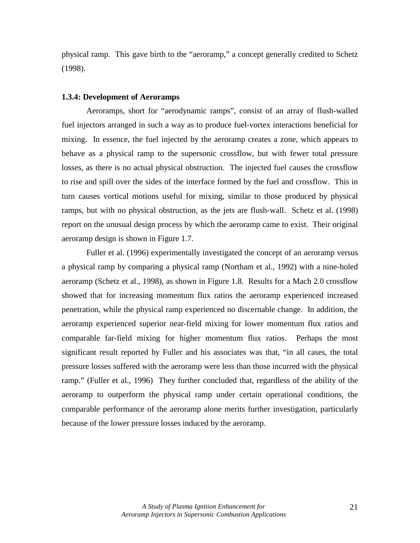physical ramp. This gave birth to the "aeroramp," a concept generally credited to Schetz (1998).

#### **1.3.4: Development of Aeroramps**

 Aeroramps, short for "aerodynamic ramps", consist of an array of flush-walled fuel injectors arranged in such a way as to produce fuel-vortex interactions beneficial for mixing. In essence, the fuel injected by the aeroramp creates a zone, which appears to behave as a physical ramp to the supersonic crossflow, but with fewer total pressure losses, as there is no actual physical obstruction. The injected fuel causes the crossflow to rise and spill over the sides of the interface formed by the fuel and crossflow. This in turn causes vortical motions useful for mixing, similar to those produced by physical ramps, but with no physical obstruction, as the jets are flush-wall. Schetz et al. (1998) report on the unusual design process by which the aeroramp came to exist. Their original aeroramp design is shown in Figure 1.7.

Fuller et al. (1996) experimentally investigated the concept of an aeroramp versus a physical ramp by comparing a physical ramp (Northam et al., 1992) with a nine-holed aeroramp (Schetz et al., 1998), as shown in Figure 1.8. Results for a Mach 2.0 crossflow showed that for increasing momentum flux ratios the aeroramp experienced increased penetration, while the physical ramp experienced no discernable change. In addition, the aeroramp experienced superior near-field mixing for lower momentum flux ratios and comparable far-field mixing for higher momentum flux ratios. Perhaps the most significant result reported by Fuller and his associates was that, "in all cases, the total pressure losses suffered with the aeroramp were less than those incurred with the physical ramp." (Fuller et al., 1996) They further concluded that, regardless of the ability of the aeroramp to outperform the physical ramp under certain operational conditions, the comparable performance of the aeroramp alone merits further investigation, particularly because of the lower pressure losses induced by the aeroramp.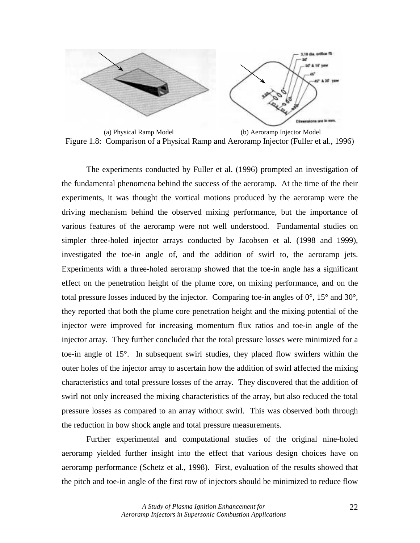

(a) Physical Ramp Model (b) Aeroramp Injector Model Figure 1.8: Comparison of a Physical Ramp and Aeroramp Injector (Fuller et al., 1996)

 The experiments conducted by Fuller et al. (1996) prompted an investigation of the fundamental phenomena behind the success of the aeroramp. At the time of the their experiments, it was thought the vortical motions produced by the aeroramp were the driving mechanism behind the observed mixing performance, but the importance of various features of the aeroramp were not well understood. Fundamental studies on simpler three-holed injector arrays conducted by Jacobsen et al. (1998 and 1999), investigated the toe-in angle of, and the addition of swirl to, the aeroramp jets. Experiments with a three-holed aeroramp showed that the toe-in angle has a significant effect on the penetration height of the plume core, on mixing performance, and on the total pressure losses induced by the injector. Comparing toe-in angles of  $0^{\circ}$ ,  $15^{\circ}$  and  $30^{\circ}$ , they reported that both the plume core penetration height and the mixing potential of the injector were improved for increasing momentum flux ratios and toe-in angle of the injector array. They further concluded that the total pressure losses were minimized for a toe-in angle of 15°. In subsequent swirl studies, they placed flow swirlers within the outer holes of the injector array to ascertain how the addition of swirl affected the mixing characteristics and total pressure losses of the array. They discovered that the addition of swirl not only increased the mixing characteristics of the array, but also reduced the total pressure losses as compared to an array without swirl. This was observed both through the reduction in bow shock angle and total pressure measurements.

 Further experimental and computational studies of the original nine-holed aeroramp yielded further insight into the effect that various design choices have on aeroramp performance (Schetz et al., 1998). First, evaluation of the results showed that the pitch and toe-in angle of the first row of injectors should be minimized to reduce flow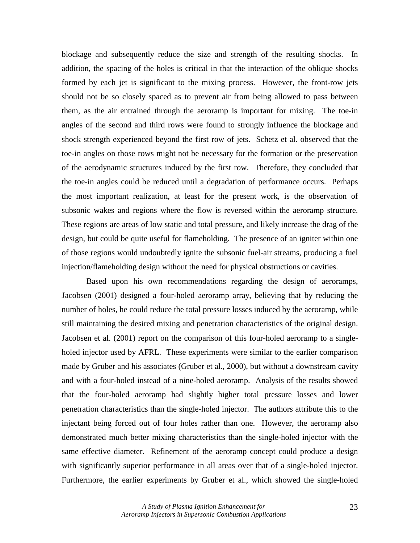blockage and subsequently reduce the size and strength of the resulting shocks. In addition, the spacing of the holes is critical in that the interaction of the oblique shocks formed by each jet is significant to the mixing process. However, the front-row jets should not be so closely spaced as to prevent air from being allowed to pass between them, as the air entrained through the aeroramp is important for mixing. The toe-in angles of the second and third rows were found to strongly influence the blockage and shock strength experienced beyond the first row of jets. Schetz et al. observed that the toe-in angles on those rows might not be necessary for the formation or the preservation of the aerodynamic structures induced by the first row. Therefore, they concluded that the toe-in angles could be reduced until a degradation of performance occurs. Perhaps the most important realization, at least for the present work, is the observation of subsonic wakes and regions where the flow is reversed within the aeroramp structure. These regions are areas of low static and total pressure, and likely increase the drag of the design, but could be quite useful for flameholding. The presence of an igniter within one of those regions would undoubtedly ignite the subsonic fuel-air streams, producing a fuel injection/flameholding design without the need for physical obstructions or cavities.

 Based upon his own recommendations regarding the design of aeroramps, Jacobsen (2001) designed a four-holed aeroramp array, believing that by reducing the number of holes, he could reduce the total pressure losses induced by the aeroramp, while still maintaining the desired mixing and penetration characteristics of the original design. Jacobsen et al. (2001) report on the comparison of this four-holed aeroramp to a singleholed injector used by AFRL. These experiments were similar to the earlier comparison made by Gruber and his associates (Gruber et al., 2000), but without a downstream cavity and with a four-holed instead of a nine-holed aeroramp. Analysis of the results showed that the four-holed aeroramp had slightly higher total pressure losses and lower penetration characteristics than the single-holed injector. The authors attribute this to the injectant being forced out of four holes rather than one. However, the aeroramp also demonstrated much better mixing characteristics than the single-holed injector with the same effective diameter. Refinement of the aeroramp concept could produce a design with significantly superior performance in all areas over that of a single-holed injector. Furthermore, the earlier experiments by Gruber et al., which showed the single-holed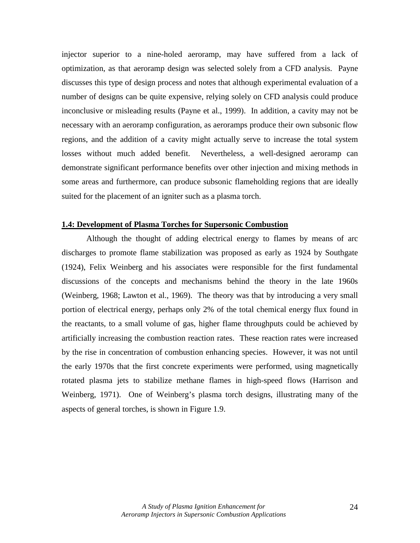injector superior to a nine-holed aeroramp, may have suffered from a lack of optimization, as that aeroramp design was selected solely from a CFD analysis. Payne discusses this type of design process and notes that although experimental evaluation of a number of designs can be quite expensive, relying solely on CFD analysis could produce inconclusive or misleading results (Payne et al., 1999). In addition, a cavity may not be necessary with an aeroramp configuration, as aeroramps produce their own subsonic flow regions, and the addition of a cavity might actually serve to increase the total system losses without much added benefit. Nevertheless, a well-designed aeroramp can demonstrate significant performance benefits over other injection and mixing methods in some areas and furthermore, can produce subsonic flameholding regions that are ideally suited for the placement of an igniter such as a plasma torch.

#### **1.4: Development of Plasma Torches for Supersonic Combustion**

 Although the thought of adding electrical energy to flames by means of arc discharges to promote flame stabilization was proposed as early as 1924 by Southgate (1924), Felix Weinberg and his associates were responsible for the first fundamental discussions of the concepts and mechanisms behind the theory in the late 1960s (Weinberg, 1968; Lawton et al., 1969). The theory was that by introducing a very small portion of electrical energy, perhaps only 2% of the total chemical energy flux found in the reactants, to a small volume of gas, higher flame throughputs could be achieved by artificially increasing the combustion reaction rates. These reaction rates were increased by the rise in concentration of combustion enhancing species. However, it was not until the early 1970s that the first concrete experiments were performed, using magnetically rotated plasma jets to stabilize methane flames in high-speed flows (Harrison and Weinberg, 1971). One of Weinberg's plasma torch designs, illustrating many of the aspects of general torches, is shown in Figure 1.9.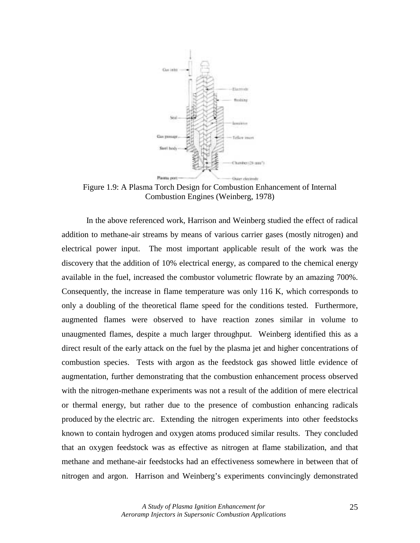

Figure 1.9: A Plasma Torch Design for Combustion Enhancement of Internal Combustion Engines (Weinberg, 1978)

 In the above referenced work, Harrison and Weinberg studied the effect of radical addition to methane-air streams by means of various carrier gases (mostly nitrogen) and electrical power input. The most important applicable result of the work was the discovery that the addition of 10% electrical energy, as compared to the chemical energy available in the fuel, increased the combustor volumetric flowrate by an amazing 700%. Consequently, the increase in flame temperature was only 116 K, which corresponds to only a doubling of the theoretical flame speed for the conditions tested. Furthermore, augmented flames were observed to have reaction zones similar in volume to unaugmented flames, despite a much larger throughput. Weinberg identified this as a direct result of the early attack on the fuel by the plasma jet and higher concentrations of combustion species. Tests with argon as the feedstock gas showed little evidence of augmentation, further demonstrating that the combustion enhancement process observed with the nitrogen-methane experiments was not a result of the addition of mere electrical or thermal energy, but rather due to the presence of combustion enhancing radicals produced by the electric arc. Extending the nitrogen experiments into other feedstocks known to contain hydrogen and oxygen atoms produced similar results. They concluded that an oxygen feedstock was as effective as nitrogen at flame stabilization, and that methane and methane-air feedstocks had an effectiveness somewhere in between that of nitrogen and argon. Harrison and Weinberg's experiments convincingly demonstrated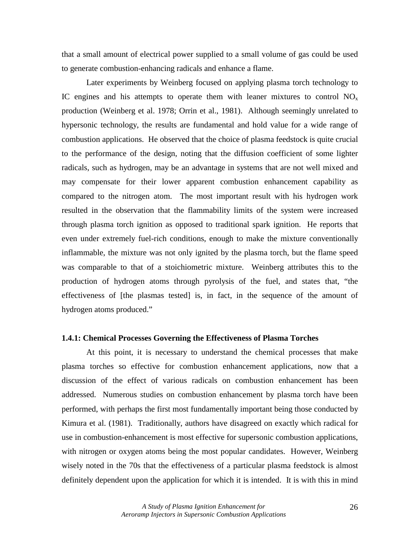that a small amount of electrical power supplied to a small volume of gas could be used to generate combustion-enhancing radicals and enhance a flame.

 Later experiments by Weinberg focused on applying plasma torch technology to IC engines and his attempts to operate them with leaner mixtures to control  $NO<sub>x</sub>$ production (Weinberg et al. 1978; Orrin et al., 1981). Although seemingly unrelated to hypersonic technology, the results are fundamental and hold value for a wide range of combustion applications. He observed that the choice of plasma feedstock is quite crucial to the performance of the design, noting that the diffusion coefficient of some lighter radicals, such as hydrogen, may be an advantage in systems that are not well mixed and may compensate for their lower apparent combustion enhancement capability as compared to the nitrogen atom. The most important result with his hydrogen work resulted in the observation that the flammability limits of the system were increased through plasma torch ignition as opposed to traditional spark ignition. He reports that even under extremely fuel-rich conditions, enough to make the mixture conventionally inflammable, the mixture was not only ignited by the plasma torch, but the flame speed was comparable to that of a stoichiometric mixture. Weinberg attributes this to the production of hydrogen atoms through pyrolysis of the fuel, and states that, "the effectiveness of [the plasmas tested] is, in fact, in the sequence of the amount of hydrogen atoms produced."

## **1.4.1: Chemical Processes Governing the Effectiveness of Plasma Torches**

 At this point, it is necessary to understand the chemical processes that make plasma torches so effective for combustion enhancement applications, now that a discussion of the effect of various radicals on combustion enhancement has been addressed. Numerous studies on combustion enhancement by plasma torch have been performed, with perhaps the first most fundamentally important being those conducted by Kimura et al. (1981). Traditionally, authors have disagreed on exactly which radical for use in combustion-enhancement is most effective for supersonic combustion applications, with nitrogen or oxygen atoms being the most popular candidates. However, Weinberg wisely noted in the 70s that the effectiveness of a particular plasma feedstock is almost definitely dependent upon the application for which it is intended. It is with this in mind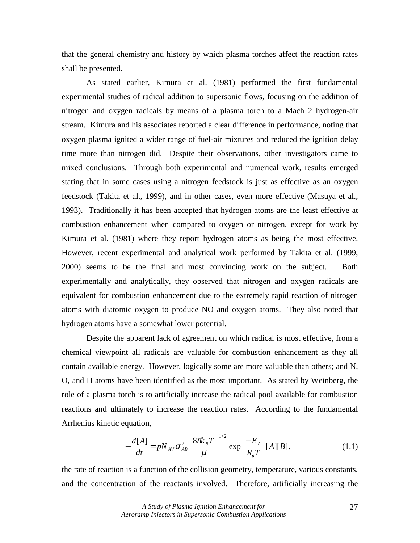that the general chemistry and history by which plasma torches affect the reaction rates shall be presented.

 As stated earlier, Kimura et al. (1981) performed the first fundamental experimental studies of radical addition to supersonic flows, focusing on the addition of nitrogen and oxygen radicals by means of a plasma torch to a Mach 2 hydrogen-air stream. Kimura and his associates reported a clear difference in performance, noting that oxygen plasma ignited a wider range of fuel-air mixtures and reduced the ignition delay time more than nitrogen did. Despite their observations, other investigators came to mixed conclusions. Through both experimental and numerical work, results emerged stating that in some cases using a nitrogen feedstock is just as effective as an oxygen feedstock (Takita et al., 1999), and in other cases, even more effective (Masuya et al., 1993). Traditionally it has been accepted that hydrogen atoms are the least effective at combustion enhancement when compared to oxygen or nitrogen, except for work by Kimura et al. (1981) where they report hydrogen atoms as being the most effective. However, recent experimental and analytical work performed by Takita et al. (1999, 2000) seems to be the final and most convincing work on the subject. Both experimentally and analytically, they observed that nitrogen and oxygen radicals are equivalent for combustion enhancement due to the extremely rapid reaction of nitrogen atoms with diatomic oxygen to produce NO and oxygen atoms. They also noted that hydrogen atoms have a somewhat lower potential.

 Despite the apparent lack of agreement on which radical is most effective, from a chemical viewpoint all radicals are valuable for combustion enhancement as they all contain available energy. However, logically some are more valuable than others; and N, O, and H atoms have been identified as the most important. As stated by Weinberg, the role of a plasma torch is to artificially increase the radical pool available for combustion reactions and ultimately to increase the reaction rates. According to the fundamental Arrhenius kinetic equation,

$$
-\frac{d[A]}{dt} = pN_{AV}\sigma_{AB}^2 \left[\frac{8\pi k_B T}{\mu}\right]^{1/2} \exp\left[\frac{-E_A}{R_u T}\right] [A][B],\tag{1.1}
$$

the rate of reaction is a function of the collision geometry, temperature, various constants, and the concentration of the reactants involved. Therefore, artificially increasing the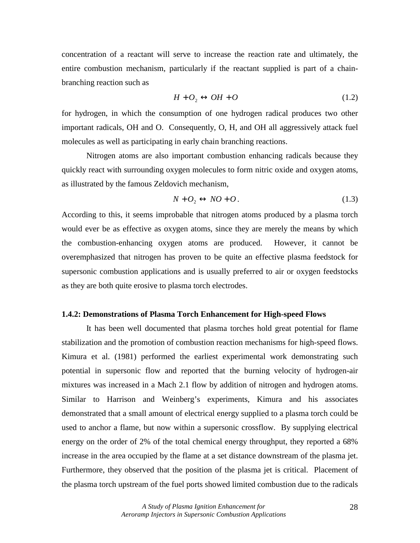concentration of a reactant will serve to increase the reaction rate and ultimately, the entire combustion mechanism, particularly if the reactant supplied is part of a chainbranching reaction such as

$$
H + O_2 \leftrightarrow OH + O \tag{1.2}
$$

for hydrogen, in which the consumption of one hydrogen radical produces two other important radicals, OH and O. Consequently, O, H, and OH all aggressively attack fuel molecules as well as participating in early chain branching reactions.

 Nitrogen atoms are also important combustion enhancing radicals because they quickly react with surrounding oxygen molecules to form nitric oxide and oxygen atoms, as illustrated by the famous Zeldovich mechanism,

$$
N + O_2 \leftrightarrow NO + O. \tag{1.3}
$$

According to this, it seems improbable that nitrogen atoms produced by a plasma torch would ever be as effective as oxygen atoms, since they are merely the means by which the combustion-enhancing oxygen atoms are produced. However, it cannot be overemphasized that nitrogen has proven to be quite an effective plasma feedstock for supersonic combustion applications and is usually preferred to air or oxygen feedstocks as they are both quite erosive to plasma torch electrodes.

#### **1.4.2: Demonstrations of Plasma Torch Enhancement for High-speed Flows**

 It has been well documented that plasma torches hold great potential for flame stabilization and the promotion of combustion reaction mechanisms for high-speed flows. Kimura et al. (1981) performed the earliest experimental work demonstrating such potential in supersonic flow and reported that the burning velocity of hydrogen-air mixtures was increased in a Mach 2.1 flow by addition of nitrogen and hydrogen atoms. Similar to Harrison and Weinberg's experiments, Kimura and his associates demonstrated that a small amount of electrical energy supplied to a plasma torch could be used to anchor a flame, but now within a supersonic crossflow. By supplying electrical energy on the order of 2% of the total chemical energy throughput, they reported a 68% increase in the area occupied by the flame at a set distance downstream of the plasma jet. Furthermore, they observed that the position of the plasma jet is critical. Placement of the plasma torch upstream of the fuel ports showed limited combustion due to the radicals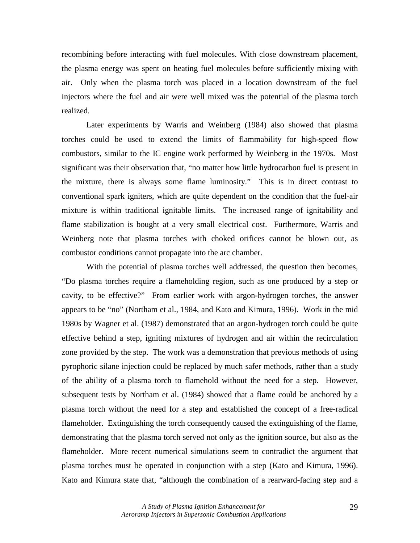recombining before interacting with fuel molecules. With close downstream placement, the plasma energy was spent on heating fuel molecules before sufficiently mixing with air. Only when the plasma torch was placed in a location downstream of the fuel injectors where the fuel and air were well mixed was the potential of the plasma torch realized.

 Later experiments by Warris and Weinberg (1984) also showed that plasma torches could be used to extend the limits of flammability for high-speed flow combustors, similar to the IC engine work performed by Weinberg in the 1970s. Most significant was their observation that, "no matter how little hydrocarbon fuel is present in the mixture, there is always some flame luminosity." This is in direct contrast to conventional spark igniters, which are quite dependent on the condition that the fuel-air mixture is within traditional ignitable limits. The increased range of ignitability and flame stabilization is bought at a very small electrical cost. Furthermore, Warris and Weinberg note that plasma torches with choked orifices cannot be blown out, as combustor conditions cannot propagate into the arc chamber.

 With the potential of plasma torches well addressed, the question then becomes, "Do plasma torches require a flameholding region, such as one produced by a step or cavity, to be effective?" From earlier work with argon-hydrogen torches, the answer appears to be "no" (Northam et al., 1984, and Kato and Kimura, 1996). Work in the mid 1980s by Wagner et al. (1987) demonstrated that an argon-hydrogen torch could be quite effective behind a step, igniting mixtures of hydrogen and air within the recirculation zone provided by the step. The work was a demonstration that previous methods of using pyrophoric silane injection could be replaced by much safer methods, rather than a study of the ability of a plasma torch to flamehold without the need for a step. However, subsequent tests by Northam et al. (1984) showed that a flame could be anchored by a plasma torch without the need for a step and established the concept of a free-radical flameholder. Extinguishing the torch consequently caused the extinguishing of the flame, demonstrating that the plasma torch served not only as the ignition source, but also as the flameholder. More recent numerical simulations seem to contradict the argument that plasma torches must be operated in conjunction with a step (Kato and Kimura, 1996). Kato and Kimura state that, "although the combination of a rearward-facing step and a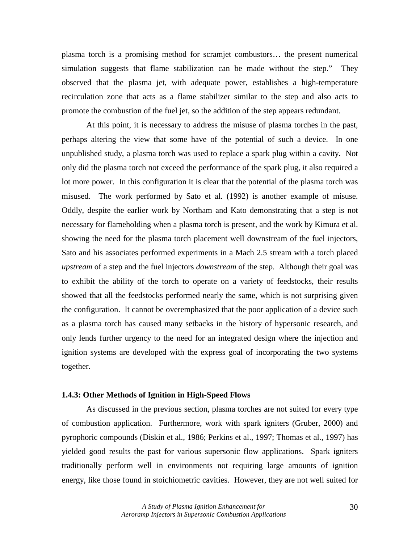plasma torch is a promising method for scramjet combustors… the present numerical simulation suggests that flame stabilization can be made without the step." They observed that the plasma jet, with adequate power, establishes a high-temperature recirculation zone that acts as a flame stabilizer similar to the step and also acts to promote the combustion of the fuel jet, so the addition of the step appears redundant.

At this point, it is necessary to address the misuse of plasma torches in the past, perhaps altering the view that some have of the potential of such a device. In one unpublished study, a plasma torch was used to replace a spark plug within a cavity. Not only did the plasma torch not exceed the performance of the spark plug, it also required a lot more power. In this configuration it is clear that the potential of the plasma torch was misused. The work performed by Sato et al. (1992) is another example of misuse. Oddly, despite the earlier work by Northam and Kato demonstrating that a step is not necessary for flameholding when a plasma torch is present, and the work by Kimura et al. showing the need for the plasma torch placement well downstream of the fuel injectors, Sato and his associates performed experiments in a Mach 2.5 stream with a torch placed *upstream* of a step and the fuel injectors *downstream* of the step. Although their goal was to exhibit the ability of the torch to operate on a variety of feedstocks, their results showed that all the feedstocks performed nearly the same, which is not surprising given the configuration. It cannot be overemphasized that the poor application of a device such as a plasma torch has caused many setbacks in the history of hypersonic research, and only lends further urgency to the need for an integrated design where the injection and ignition systems are developed with the express goal of incorporating the two systems together.

## **1.4.3: Other Methods of Ignition in High-Speed Flows**

 As discussed in the previous section, plasma torches are not suited for every type of combustion application. Furthermore, work with spark igniters (Gruber, 2000) and pyrophoric compounds (Diskin et al., 1986; Perkins et al., 1997; Thomas et al., 1997) has yielded good results the past for various supersonic flow applications. Spark igniters traditionally perform well in environments not requiring large amounts of ignition energy, like those found in stoichiometric cavities. However, they are not well suited for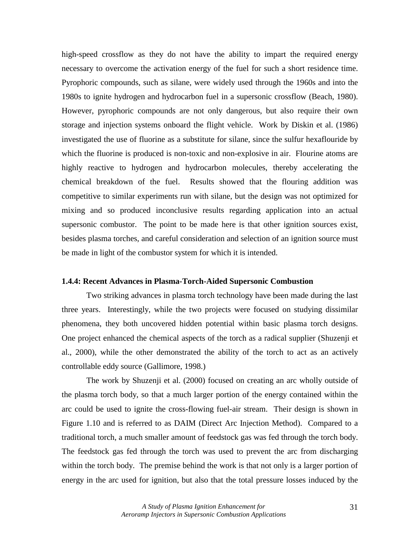high-speed crossflow as they do not have the ability to impart the required energy necessary to overcome the activation energy of the fuel for such a short residence time. Pyrophoric compounds, such as silane, were widely used through the 1960s and into the 1980s to ignite hydrogen and hydrocarbon fuel in a supersonic crossflow (Beach, 1980). However, pyrophoric compounds are not only dangerous, but also require their own storage and injection systems onboard the flight vehicle. Work by Diskin et al. (1986) investigated the use of fluorine as a substitute for silane, since the sulfur hexaflouride by which the fluorine is produced is non-toxic and non-explosive in air. Flourine atoms are highly reactive to hydrogen and hydrocarbon molecules, thereby accelerating the chemical breakdown of the fuel. Results showed that the flouring addition was competitive to similar experiments run with silane, but the design was not optimized for mixing and so produced inconclusive results regarding application into an actual supersonic combustor. The point to be made here is that other ignition sources exist, besides plasma torches, and careful consideration and selection of an ignition source must be made in light of the combustor system for which it is intended.

### **1.4.4: Recent Advances in Plasma-Torch-Aided Supersonic Combustion**

 Two striking advances in plasma torch technology have been made during the last three years. Interestingly, while the two projects were focused on studying dissimilar phenomena, they both uncovered hidden potential within basic plasma torch designs. One project enhanced the chemical aspects of the torch as a radical supplier (Shuzenji et al., 2000), while the other demonstrated the ability of the torch to act as an actively controllable eddy source (Gallimore, 1998.)

 The work by Shuzenji et al. (2000) focused on creating an arc wholly outside of the plasma torch body, so that a much larger portion of the energy contained within the arc could be used to ignite the cross-flowing fuel-air stream. Their design is shown in Figure 1.10 and is referred to as DAIM (Direct Arc Injection Method). Compared to a traditional torch, a much smaller amount of feedstock gas was fed through the torch body. The feedstock gas fed through the torch was used to prevent the arc from discharging within the torch body. The premise behind the work is that not only is a larger portion of energy in the arc used for ignition, but also that the total pressure losses induced by the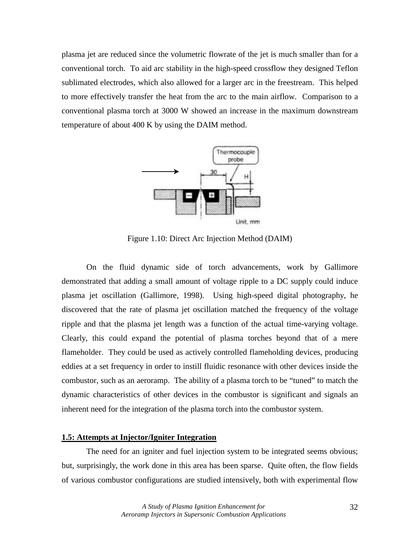plasma jet are reduced since the volumetric flowrate of the jet is much smaller than for a conventional torch. To aid arc stability in the high-speed crossflow they designed Teflon sublimated electrodes, which also allowed for a larger arc in the freestream. This helped to more effectively transfer the heat from the arc to the main airflow. Comparison to a conventional plasma torch at 3000 W showed an increase in the maximum downstream temperature of about 400 K by using the DAIM method.



Figure 1.10: Direct Arc Injection Method (DAIM)

 On the fluid dynamic side of torch advancements, work by Gallimore demonstrated that adding a small amount of voltage ripple to a DC supply could induce plasma jet oscillation (Gallimore, 1998). Using high-speed digital photography, he discovered that the rate of plasma jet oscillation matched the frequency of the voltage ripple and that the plasma jet length was a function of the actual time-varying voltage. Clearly, this could expand the potential of plasma torches beyond that of a mere flameholder. They could be used as actively controlled flameholding devices, producing eddies at a set frequency in order to instill fluidic resonance with other devices inside the combustor, such as an aeroramp. The ability of a plasma torch to be "tuned" to match the dynamic characteristics of other devices in the combustor is significant and signals an inherent need for the integration of the plasma torch into the combustor system.

# **1.5: Attempts at Injector/Igniter Integration**

 The need for an igniter and fuel injection system to be integrated seems obvious; but, surprisingly, the work done in this area has been sparse. Quite often, the flow fields of various combustor configurations are studied intensively, both with experimental flow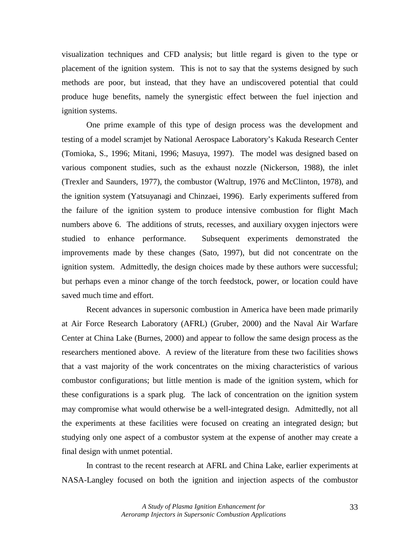visualization techniques and CFD analysis; but little regard is given to the type or placement of the ignition system. This is not to say that the systems designed by such methods are poor, but instead, that they have an undiscovered potential that could produce huge benefits, namely the synergistic effect between the fuel injection and ignition systems.

 One prime example of this type of design process was the development and testing of a model scramjet by National Aerospace Laboratory's Kakuda Research Center (Tomioka, S., 1996; Mitani, 1996; Masuya, 1997). The model was designed based on various component studies, such as the exhaust nozzle (Nickerson, 1988), the inlet (Trexler and Saunders, 1977), the combustor (Waltrup, 1976 and McClinton, 1978), and the ignition system (Yatsuyanagi and Chinzaei, 1996). Early experiments suffered from the failure of the ignition system to produce intensive combustion for flight Mach numbers above 6. The additions of struts, recesses, and auxiliary oxygen injectors were studied to enhance performance. Subsequent experiments demonstrated the improvements made by these changes (Sato, 1997), but did not concentrate on the ignition system. Admittedly, the design choices made by these authors were successful; but perhaps even a minor change of the torch feedstock, power, or location could have saved much time and effort.

 Recent advances in supersonic combustion in America have been made primarily at Air Force Research Laboratory (AFRL) (Gruber, 2000) and the Naval Air Warfare Center at China Lake (Burnes, 2000) and appear to follow the same design process as the researchers mentioned above. A review of the literature from these two facilities shows that a vast majority of the work concentrates on the mixing characteristics of various combustor configurations; but little mention is made of the ignition system, which for these configurations is a spark plug. The lack of concentration on the ignition system may compromise what would otherwise be a well-integrated design. Admittedly, not all the experiments at these facilities were focused on creating an integrated design; but studying only one aspect of a combustor system at the expense of another may create a final design with unmet potential.

In contrast to the recent research at AFRL and China Lake, earlier experiments at NASA-Langley focused on both the ignition and injection aspects of the combustor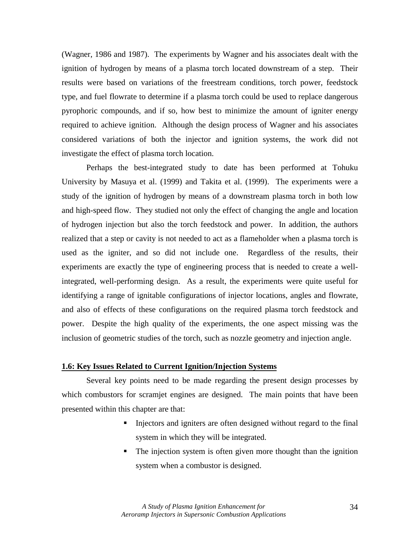(Wagner, 1986 and 1987). The experiments by Wagner and his associates dealt with the ignition of hydrogen by means of a plasma torch located downstream of a step. Their results were based on variations of the freestream conditions, torch power, feedstock type, and fuel flowrate to determine if a plasma torch could be used to replace dangerous pyrophoric compounds, and if so, how best to minimize the amount of igniter energy required to achieve ignition. Although the design process of Wagner and his associates considered variations of both the injector and ignition systems, the work did not investigate the effect of plasma torch location.

 Perhaps the best-integrated study to date has been performed at Tohuku University by Masuya et al. (1999) and Takita et al. (1999). The experiments were a study of the ignition of hydrogen by means of a downstream plasma torch in both low and high-speed flow. They studied not only the effect of changing the angle and location of hydrogen injection but also the torch feedstock and power. In addition, the authors realized that a step or cavity is not needed to act as a flameholder when a plasma torch is used as the igniter, and so did not include one. Regardless of the results, their experiments are exactly the type of engineering process that is needed to create a wellintegrated, well-performing design. As a result, the experiments were quite useful for identifying a range of ignitable configurations of injector locations, angles and flowrate, and also of effects of these configurations on the required plasma torch feedstock and power. Despite the high quality of the experiments, the one aspect missing was the inclusion of geometric studies of the torch, such as nozzle geometry and injection angle.

# **1.6: Key Issues Related to Current Ignition/Injection Systems**

 Several key points need to be made regarding the present design processes by which combustors for scramjet engines are designed. The main points that have been presented within this chapter are that:

- ! Injectors and igniters are often designed without regard to the final system in which they will be integrated.
- The injection system is often given more thought than the ignition system when a combustor is designed.